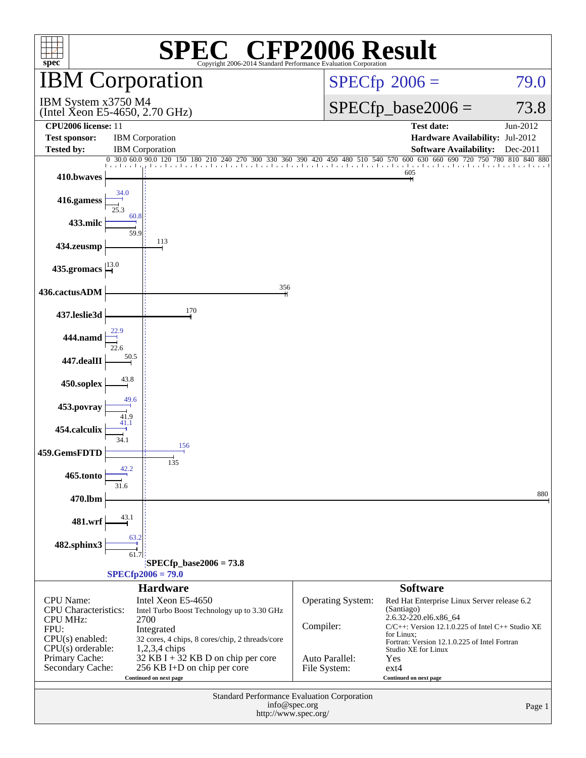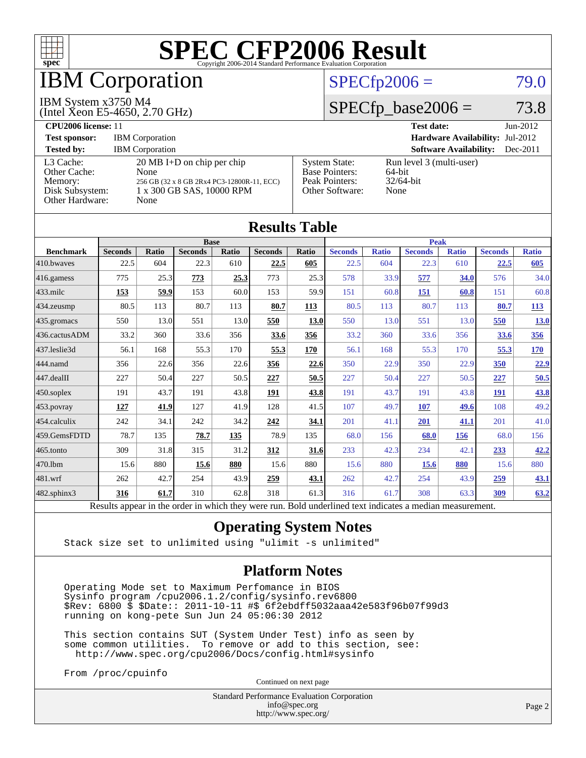

## IBM Corporation

#### IBM System x3750 M4

(Intel Xeon E5-4650, 2.70 GHz)

#### $SPECfp2006 = 79.0$  $SPECfp2006 = 79.0$

## $SPECTp\_base2006 = 73.8$

| CPU <sub>2006</sub> license: 11                                            |                                                                                                                                 |                                                                                    | <b>Test date:</b><br>$Jun-2012$                               |  |
|----------------------------------------------------------------------------|---------------------------------------------------------------------------------------------------------------------------------|------------------------------------------------------------------------------------|---------------------------------------------------------------|--|
| <b>Test sponsor:</b>                                                       | <b>IBM</b> Corporation                                                                                                          | <b>Hardware Availability: Jul-2012</b>                                             |                                                               |  |
| <b>Tested by:</b>                                                          | <b>IBM</b> Corporation                                                                                                          |                                                                                    | <b>Software Availability:</b><br>$Dec-2011$                   |  |
| L3 Cache:<br>Other Cache:<br>Memory:<br>Disk Subsystem:<br>Other Hardware: | $20 \text{ MB I+D}$ on chip per chip<br>None<br>256 GB (32 x 8 GB 2Rx4 PC3-12800R-11, ECC)<br>1 x 300 GB SAS, 10000 RPM<br>None | <b>System State:</b><br><b>Base Pointers:</b><br>Peak Pointers:<br>Other Software: | Run level 3 (multi-user)<br>$64$ -bit<br>$32/64$ -bit<br>None |  |

**[Results Table](http://www.spec.org/auto/cpu2006/Docs/result-fields.html#ResultsTable)**

| Results Table     |                                                                                                          |              |                |             |                |       |                |              |                |              |                |              |
|-------------------|----------------------------------------------------------------------------------------------------------|--------------|----------------|-------------|----------------|-------|----------------|--------------|----------------|--------------|----------------|--------------|
| <b>Base</b>       |                                                                                                          |              |                | <b>Peak</b> |                |       |                |              |                |              |                |              |
| <b>Benchmark</b>  | <b>Seconds</b>                                                                                           | <b>Ratio</b> | <b>Seconds</b> | Ratio       | <b>Seconds</b> | Ratio | <b>Seconds</b> | <b>Ratio</b> | <b>Seconds</b> | <b>Ratio</b> | <b>Seconds</b> | <b>Ratio</b> |
| 410.bwayes        | 22.5                                                                                                     | 604          | 22.3           | 610         | 22.5           | 605   | 22.5           | 604          | 22.3           | 610          | 22.5           | 605          |
| 416.gamess        | 775                                                                                                      | 25.3         | 773            | 25.3        | 773            | 25.3  | 578            | 33.9         | 577            | 34.0         | 576            | 34.0         |
| $433$ .milc       | 153                                                                                                      | 59.9         | 153            | 60.0        | 153            | 59.9  | 151            | 60.8         | 151            | 60.8         | 151            | 60.8         |
| 434.zeusmp        | 80.5                                                                                                     | 113          | 80.7           | 113         | 80.7           | 113   | 80.5           | 113          | 80.7           | 113          | 80.7           | <u>113</u>   |
| 435.gromacs       | 550                                                                                                      | 13.0         | 551            | 13.0        | 550            | 13.0  | 550            | 13.0         | 551            | 13.0         | 550            | <b>13.0</b>  |
| 436.cactusADM     | 33.2                                                                                                     | 360          | 33.6           | 356         | 33.6           | 356   | 33.2           | 360          | 33.6           | 356          | 33.6           | 356          |
| 437.leslie3d      | 56.1                                                                                                     | 168          | 55.3           | 170         | 55.3           | 170   | 56.1           | 168          | 55.3           | 170          | 55.3           | <u>170</u>   |
| 444.namd          | 356                                                                                                      | 22.6         | 356            | 22.6        | <u>356</u>     | 22.6  | 350            | 22.9         | 350            | 22.9         | 350            | 22.9         |
| 447.dealII        | 227                                                                                                      | 50.4         | 227            | 50.5        | 227            | 50.5  | 227            | 50.4         | 227            | 50.5         | 227            | 50.5         |
| $450$ .soplex     | 191                                                                                                      | 43.7         | 191            | 43.8        | 191            | 43.8  | 191            | 43.7         | 191            | 43.8         | 191            | 43.8         |
| $453$ .povray     | 127                                                                                                      | 41.9         | 127            | 41.9        | 128            | 41.5  | 107            | 49.7         | <b>107</b>     | 49.6         | 108            | 49.2         |
| 454.calculix      | 242                                                                                                      | 34.1         | 242            | 34.2        | 242            | 34.1  | 201            | 41.1         | 201            | 41.1         | 201            | 41.0         |
| 459.GemsFDTD      | 78.7                                                                                                     | 135          | 78.7           | 135         | 78.9           | 135   | 68.0           | 156          | 68.0           | 156          | 68.0           | 156          |
| 465.tonto         | 309                                                                                                      | 31.8         | 315            | 31.2        | 312            | 31.6  | 233            | 42.3         | 234            | 42.1         | 233            | 42.2         |
| 470.1bm           | 15.6                                                                                                     | 880          | 15.6           | 880         | 15.6           | 880   | 15.6           | 880          | 15.6           | 880          | 15.6           | 880          |
| 481.wrf           | 262                                                                                                      | 42.7         | 254            | 43.9        | 259            | 43.1  | 262            | 42.7         | 254            | 43.9         | <u>259</u>     | <u>43.1</u>  |
| $482$ .sphinx $3$ | 316                                                                                                      | 61.7         | 310            | 62.8        | 318            | 61.3  | 316            | 61.7         | 308            | 63.3         | 309            | 63.2         |
|                   | Results appear in the order in which they were run. Bold underlined text indicates a median measurement. |              |                |             |                |       |                |              |                |              |                |              |

#### **[Operating System Notes](http://www.spec.org/auto/cpu2006/Docs/result-fields.html#OperatingSystemNotes)**

Stack size set to unlimited using "ulimit -s unlimited"

#### **[Platform Notes](http://www.spec.org/auto/cpu2006/Docs/result-fields.html#PlatformNotes)**

 Operating Mode set to Maximum Perfomance in BIOS Sysinfo program /cpu2006.1.2/config/sysinfo.rev6800 \$Rev: 6800 \$ \$Date:: 2011-10-11 #\$ 6f2ebdff5032aaa42e583f96b07f99d3 running on kong-pete Sun Jun 24 05:06:30 2012

 This section contains SUT (System Under Test) info as seen by some common utilities. To remove or add to this section, see: <http://www.spec.org/cpu2006/Docs/config.html#sysinfo>

From /proc/cpuinfo

Continued on next page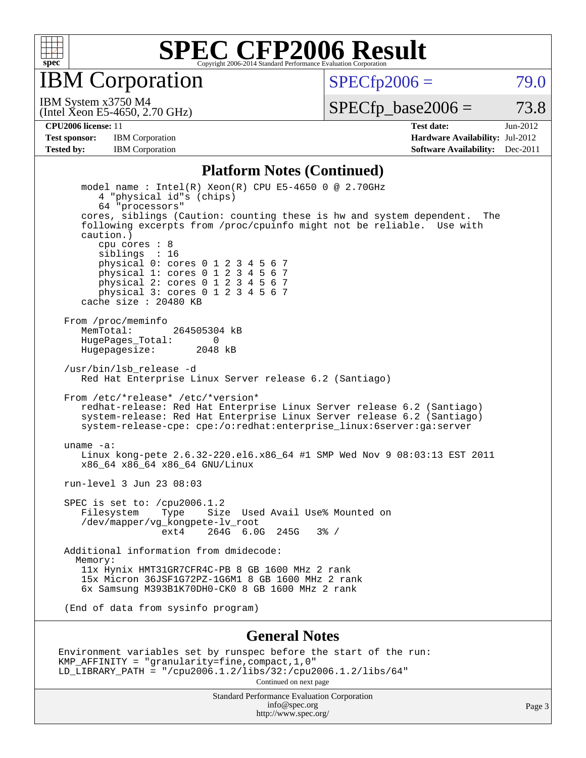

IBM Corporation

 $SPECTp2006 = 79.0$ 

(Intel Xeon E5-4650, 2.70 GHz) IBM System x3750 M4

 $SPECTp\_base2006 = 73.8$ 

**[CPU2006 license:](http://www.spec.org/auto/cpu2006/Docs/result-fields.html#CPU2006license)** 11 **[Test date:](http://www.spec.org/auto/cpu2006/Docs/result-fields.html#Testdate)** Jun-2012 **[Test sponsor:](http://www.spec.org/auto/cpu2006/Docs/result-fields.html#Testsponsor)** IBM Corporation **[Hardware Availability:](http://www.spec.org/auto/cpu2006/Docs/result-fields.html#HardwareAvailability)** Jul-2012 **[Tested by:](http://www.spec.org/auto/cpu2006/Docs/result-fields.html#Testedby)** IBM Corporation **[Software Availability:](http://www.spec.org/auto/cpu2006/Docs/result-fields.html#SoftwareAvailability)** Dec-2011

#### **[Platform Notes \(Continued\)](http://www.spec.org/auto/cpu2006/Docs/result-fields.html#PlatformNotes)**

 model name : Intel(R) Xeon(R) CPU E5-4650 0 @ 2.70GHz 4 "physical id"s (chips) 64 "processors" cores, siblings (Caution: counting these is hw and system dependent. The following excerpts from /proc/cpuinfo might not be reliable. Use with caution.) cpu cores : 8 siblings : 16 physical 0: cores 0 1 2 3 4 5 6 7 physical 1: cores 0 1 2 3 4 5 6 7 physical 2: cores 0 1 2 3 4 5 6 7 physical 3: cores 0 1 2 3 4 5 6 7 cache size : 20480 KB From /proc/meminfo MemTotal: 264505304 kB<br>Hugebages Total: 0 HugePages\_Total: 0 Hugepagesize: 2048 kB /usr/bin/lsb\_release -d Red Hat Enterprise Linux Server release 6.2 (Santiago) From /etc/\*release\* /etc/\*version\* redhat-release: Red Hat Enterprise Linux Server release 6.2 (Santiago) system-release: Red Hat Enterprise Linux Server release 6.2 (Santiago) system-release-cpe: cpe:/o:redhat:enterprise\_linux:6server:ga:server uname -a: Linux kong-pete 2.6.32-220.el6.x86\_64 #1 SMP Wed Nov 9 08:03:13 EST 2011 x86\_64 x86\_64 x86\_64 GNU/Linux run-level 3 Jun 23 08:03 SPEC is set to: /cpu2006.1.2 Filesystem Type Size Used Avail Use% Mounted on /dev/mapper/vg\_kongpete-lv\_root ext4 264G 6.0G 245G 3% / Additional information from dmidecode: Memory: 11x Hynix HMT31GR7CFR4C-PB 8 GB 1600 MHz 2 rank 15x Micron 36JSF1G72PZ-1G6M1 8 GB 1600 MHz 2 rank 6x Samsung M393B1K70DH0-CK0 8 GB 1600 MHz 2 rank (End of data from sysinfo program)

#### **[General Notes](http://www.spec.org/auto/cpu2006/Docs/result-fields.html#GeneralNotes)**

Environment variables set by runspec before the start of the run: KMP\_AFFINITY = "granularity=fine,compact,1,0" LD\_LIBRARY\_PATH = "/cpu2006.1.2/libs/32:/cpu2006.1.2/libs/64" Continued on next page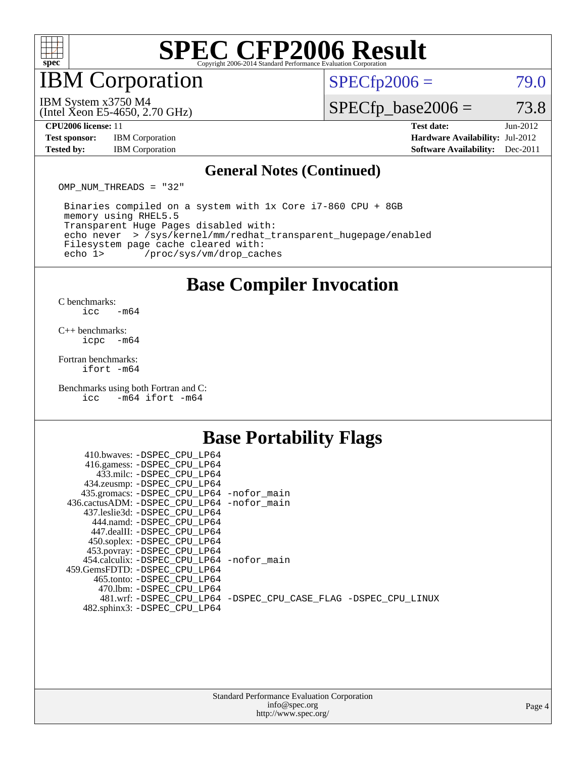

## IBM Corporation

 $SPECfp2006 = 79.0$  $SPECfp2006 = 79.0$ 

(Intel Xeon E5-4650, 2.70 GHz) IBM System x3750 M4

 $SPECTp\_base2006 = 73.8$ 

**[Test sponsor:](http://www.spec.org/auto/cpu2006/Docs/result-fields.html#Testsponsor)** IBM Corporation **[Hardware Availability:](http://www.spec.org/auto/cpu2006/Docs/result-fields.html#HardwareAvailability)** Jul-2012

**[CPU2006 license:](http://www.spec.org/auto/cpu2006/Docs/result-fields.html#CPU2006license)** 11 **[Test date:](http://www.spec.org/auto/cpu2006/Docs/result-fields.html#Testdate)** Jun-2012 **[Tested by:](http://www.spec.org/auto/cpu2006/Docs/result-fields.html#Testedby)** IBM Corporation **[Software Availability:](http://www.spec.org/auto/cpu2006/Docs/result-fields.html#SoftwareAvailability)** Dec-2011

#### **[General Notes \(Continued\)](http://www.spec.org/auto/cpu2006/Docs/result-fields.html#GeneralNotes)**

OMP NUM THREADS = "32"

 Binaries compiled on a system with 1x Core i7-860 CPU + 8GB memory using RHEL5.5 Transparent Huge Pages disabled with: echo never > /sys/kernel/mm/redhat\_transparent\_hugepage/enabled Filesystem page cache cleared with: echo 1> /proc/sys/vm/drop\_caches

### **[Base Compiler Invocation](http://www.spec.org/auto/cpu2006/Docs/result-fields.html#BaseCompilerInvocation)**

 $C$  benchmarks:<br>icc  $-m64$ 

[C++ benchmarks:](http://www.spec.org/auto/cpu2006/Docs/result-fields.html#CXXbenchmarks) [icpc -m64](http://www.spec.org/cpu2006/results/res2012q3/cpu2006-20120702-23353.flags.html#user_CXXbase_intel_icpc_64bit_bedb90c1146cab66620883ef4f41a67e)

[Fortran benchmarks](http://www.spec.org/auto/cpu2006/Docs/result-fields.html#Fortranbenchmarks): [ifort -m64](http://www.spec.org/cpu2006/results/res2012q3/cpu2006-20120702-23353.flags.html#user_FCbase_intel_ifort_64bit_ee9d0fb25645d0210d97eb0527dcc06e)

[Benchmarks using both Fortran and C](http://www.spec.org/auto/cpu2006/Docs/result-fields.html#BenchmarksusingbothFortranandC): [icc -m64](http://www.spec.org/cpu2006/results/res2012q3/cpu2006-20120702-23353.flags.html#user_CC_FCbase_intel_icc_64bit_0b7121f5ab7cfabee23d88897260401c) [ifort -m64](http://www.spec.org/cpu2006/results/res2012q3/cpu2006-20120702-23353.flags.html#user_CC_FCbase_intel_ifort_64bit_ee9d0fb25645d0210d97eb0527dcc06e)

### **[Base Portability Flags](http://www.spec.org/auto/cpu2006/Docs/result-fields.html#BasePortabilityFlags)**

| 410.bwaves: -DSPEC CPU LP64                |                                                                |
|--------------------------------------------|----------------------------------------------------------------|
| 416.gamess: -DSPEC_CPU_LP64                |                                                                |
| 433.milc: -DSPEC CPU LP64                  |                                                                |
| 434.zeusmp: -DSPEC_CPU_LP64                |                                                                |
| 435.gromacs: -DSPEC_CPU_LP64 -nofor_main   |                                                                |
| 436.cactusADM: -DSPEC CPU LP64 -nofor main |                                                                |
| 437.leslie3d: -DSPEC CPU LP64              |                                                                |
| 444.namd: -DSPEC CPU LP64                  |                                                                |
| 447.dealII: -DSPEC CPU LP64                |                                                                |
| 450.soplex: -DSPEC_CPU_LP64                |                                                                |
| 453.povray: -DSPEC_CPU_LP64                |                                                                |
| 454.calculix: -DSPEC CPU LP64 -nofor main  |                                                                |
| 459.GemsFDTD: -DSPEC_CPU LP64              |                                                                |
| 465.tonto: - DSPEC CPU LP64                |                                                                |
| 470.1bm: - DSPEC CPU LP64                  |                                                                |
|                                            | 481.wrf: -DSPEC CPU_LP64 -DSPEC_CPU_CASE_FLAG -DSPEC_CPU_LINUX |
| 482.sphinx3: -DSPEC_CPU_LP64               |                                                                |
|                                            |                                                                |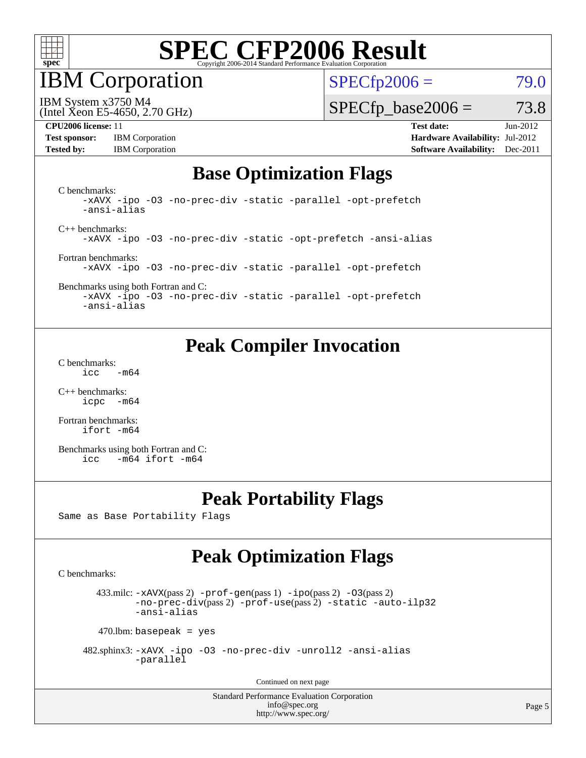

IBM Corporation

 $SPECfp2006 = 79.0$  $SPECfp2006 = 79.0$ 

IBM System x3750 M4

 $SPECTp\_base2006 = 73.8$ 

**[Test sponsor:](http://www.spec.org/auto/cpu2006/Docs/result-fields.html#Testsponsor)** IBM Corporation **[Hardware Availability:](http://www.spec.org/auto/cpu2006/Docs/result-fields.html#HardwareAvailability)** Jul-2012

(Intel Xeon E5-4650, 2.70 GHz)

**[CPU2006 license:](http://www.spec.org/auto/cpu2006/Docs/result-fields.html#CPU2006license)** 11 **[Test date:](http://www.spec.org/auto/cpu2006/Docs/result-fields.html#Testdate)** Jun-2012 **[Tested by:](http://www.spec.org/auto/cpu2006/Docs/result-fields.html#Testedby)** IBM Corporation **[Software Availability:](http://www.spec.org/auto/cpu2006/Docs/result-fields.html#SoftwareAvailability)** Dec-2011

#### **[Base Optimization Flags](http://www.spec.org/auto/cpu2006/Docs/result-fields.html#BaseOptimizationFlags)**

[C benchmarks](http://www.spec.org/auto/cpu2006/Docs/result-fields.html#Cbenchmarks): [-xAVX](http://www.spec.org/cpu2006/results/res2012q3/cpu2006-20120702-23353.flags.html#user_CCbase_f-xAVX) [-ipo](http://www.spec.org/cpu2006/results/res2012q3/cpu2006-20120702-23353.flags.html#user_CCbase_f-ipo) [-O3](http://www.spec.org/cpu2006/results/res2012q3/cpu2006-20120702-23353.flags.html#user_CCbase_f-O3) [-no-prec-div](http://www.spec.org/cpu2006/results/res2012q3/cpu2006-20120702-23353.flags.html#user_CCbase_f-no-prec-div) [-static](http://www.spec.org/cpu2006/results/res2012q3/cpu2006-20120702-23353.flags.html#user_CCbase_f-static) [-parallel](http://www.spec.org/cpu2006/results/res2012q3/cpu2006-20120702-23353.flags.html#user_CCbase_f-parallel) [-opt-prefetch](http://www.spec.org/cpu2006/results/res2012q3/cpu2006-20120702-23353.flags.html#user_CCbase_f-opt-prefetch) [-ansi-alias](http://www.spec.org/cpu2006/results/res2012q3/cpu2006-20120702-23353.flags.html#user_CCbase_f-ansi-alias) [C++ benchmarks:](http://www.spec.org/auto/cpu2006/Docs/result-fields.html#CXXbenchmarks) [-xAVX](http://www.spec.org/cpu2006/results/res2012q3/cpu2006-20120702-23353.flags.html#user_CXXbase_f-xAVX) [-ipo](http://www.spec.org/cpu2006/results/res2012q3/cpu2006-20120702-23353.flags.html#user_CXXbase_f-ipo) [-O3](http://www.spec.org/cpu2006/results/res2012q3/cpu2006-20120702-23353.flags.html#user_CXXbase_f-O3) [-no-prec-div](http://www.spec.org/cpu2006/results/res2012q3/cpu2006-20120702-23353.flags.html#user_CXXbase_f-no-prec-div) [-static](http://www.spec.org/cpu2006/results/res2012q3/cpu2006-20120702-23353.flags.html#user_CXXbase_f-static) [-opt-prefetch](http://www.spec.org/cpu2006/results/res2012q3/cpu2006-20120702-23353.flags.html#user_CXXbase_f-opt-prefetch) [-ansi-alias](http://www.spec.org/cpu2006/results/res2012q3/cpu2006-20120702-23353.flags.html#user_CXXbase_f-ansi-alias) [Fortran benchmarks](http://www.spec.org/auto/cpu2006/Docs/result-fields.html#Fortranbenchmarks): [-xAVX](http://www.spec.org/cpu2006/results/res2012q3/cpu2006-20120702-23353.flags.html#user_FCbase_f-xAVX) [-ipo](http://www.spec.org/cpu2006/results/res2012q3/cpu2006-20120702-23353.flags.html#user_FCbase_f-ipo) [-O3](http://www.spec.org/cpu2006/results/res2012q3/cpu2006-20120702-23353.flags.html#user_FCbase_f-O3) [-no-prec-div](http://www.spec.org/cpu2006/results/res2012q3/cpu2006-20120702-23353.flags.html#user_FCbase_f-no-prec-div) [-static](http://www.spec.org/cpu2006/results/res2012q3/cpu2006-20120702-23353.flags.html#user_FCbase_f-static) [-parallel](http://www.spec.org/cpu2006/results/res2012q3/cpu2006-20120702-23353.flags.html#user_FCbase_f-parallel) [-opt-prefetch](http://www.spec.org/cpu2006/results/res2012q3/cpu2006-20120702-23353.flags.html#user_FCbase_f-opt-prefetch) [Benchmarks using both Fortran and C](http://www.spec.org/auto/cpu2006/Docs/result-fields.html#BenchmarksusingbothFortranandC): [-xAVX](http://www.spec.org/cpu2006/results/res2012q3/cpu2006-20120702-23353.flags.html#user_CC_FCbase_f-xAVX) [-ipo](http://www.spec.org/cpu2006/results/res2012q3/cpu2006-20120702-23353.flags.html#user_CC_FCbase_f-ipo) [-O3](http://www.spec.org/cpu2006/results/res2012q3/cpu2006-20120702-23353.flags.html#user_CC_FCbase_f-O3) [-no-prec-div](http://www.spec.org/cpu2006/results/res2012q3/cpu2006-20120702-23353.flags.html#user_CC_FCbase_f-no-prec-div) [-static](http://www.spec.org/cpu2006/results/res2012q3/cpu2006-20120702-23353.flags.html#user_CC_FCbase_f-static) [-parallel](http://www.spec.org/cpu2006/results/res2012q3/cpu2006-20120702-23353.flags.html#user_CC_FCbase_f-parallel) [-opt-prefetch](http://www.spec.org/cpu2006/results/res2012q3/cpu2006-20120702-23353.flags.html#user_CC_FCbase_f-opt-prefetch) [-ansi-alias](http://www.spec.org/cpu2006/results/res2012q3/cpu2006-20120702-23353.flags.html#user_CC_FCbase_f-ansi-alias)

**[Peak Compiler Invocation](http://www.spec.org/auto/cpu2006/Docs/result-fields.html#PeakCompilerInvocation)**

[C benchmarks](http://www.spec.org/auto/cpu2006/Docs/result-fields.html#Cbenchmarks):  $\text{icc}$  -m64

[C++ benchmarks:](http://www.spec.org/auto/cpu2006/Docs/result-fields.html#CXXbenchmarks) [icpc -m64](http://www.spec.org/cpu2006/results/res2012q3/cpu2006-20120702-23353.flags.html#user_CXXpeak_intel_icpc_64bit_bedb90c1146cab66620883ef4f41a67e)

[Fortran benchmarks](http://www.spec.org/auto/cpu2006/Docs/result-fields.html#Fortranbenchmarks): [ifort -m64](http://www.spec.org/cpu2006/results/res2012q3/cpu2006-20120702-23353.flags.html#user_FCpeak_intel_ifort_64bit_ee9d0fb25645d0210d97eb0527dcc06e)

[Benchmarks using both Fortran and C](http://www.spec.org/auto/cpu2006/Docs/result-fields.html#BenchmarksusingbothFortranandC): [icc -m64](http://www.spec.org/cpu2006/results/res2012q3/cpu2006-20120702-23353.flags.html#user_CC_FCpeak_intel_icc_64bit_0b7121f5ab7cfabee23d88897260401c) [ifort -m64](http://www.spec.org/cpu2006/results/res2012q3/cpu2006-20120702-23353.flags.html#user_CC_FCpeak_intel_ifort_64bit_ee9d0fb25645d0210d97eb0527dcc06e)

### **[Peak Portability Flags](http://www.spec.org/auto/cpu2006/Docs/result-fields.html#PeakPortabilityFlags)**

Same as Base Portability Flags

## **[Peak Optimization Flags](http://www.spec.org/auto/cpu2006/Docs/result-fields.html#PeakOptimizationFlags)**

[C benchmarks](http://www.spec.org/auto/cpu2006/Docs/result-fields.html#Cbenchmarks):

433.milc:  $-x$ AVX(pass 2)  $-p$ rof-gen(pass 1)  $-p$ po(pass 2)  $-03$ (pass 2) [-no-prec-div](http://www.spec.org/cpu2006/results/res2012q3/cpu2006-20120702-23353.flags.html#user_peakPASS2_CFLAGSPASS2_LDFLAGS433_milc_f-no-prec-div)(pass 2) [-prof-use](http://www.spec.org/cpu2006/results/res2012q3/cpu2006-20120702-23353.flags.html#user_peakPASS2_CFLAGSPASS2_LDFLAGS433_milc_prof_use_bccf7792157ff70d64e32fe3e1250b55)(pass 2) [-static](http://www.spec.org/cpu2006/results/res2012q3/cpu2006-20120702-23353.flags.html#user_peakOPTIMIZE433_milc_f-static) [-auto-ilp32](http://www.spec.org/cpu2006/results/res2012q3/cpu2006-20120702-23353.flags.html#user_peakCOPTIMIZE433_milc_f-auto-ilp32) [-ansi-alias](http://www.spec.org/cpu2006/results/res2012q3/cpu2006-20120702-23353.flags.html#user_peakCOPTIMIZE433_milc_f-ansi-alias)

 $470$ .lbm: basepeak = yes

 482.sphinx3: [-xAVX](http://www.spec.org/cpu2006/results/res2012q3/cpu2006-20120702-23353.flags.html#user_peakOPTIMIZE482_sphinx3_f-xAVX) [-ipo](http://www.spec.org/cpu2006/results/res2012q3/cpu2006-20120702-23353.flags.html#user_peakOPTIMIZE482_sphinx3_f-ipo) [-O3](http://www.spec.org/cpu2006/results/res2012q3/cpu2006-20120702-23353.flags.html#user_peakOPTIMIZE482_sphinx3_f-O3) [-no-prec-div](http://www.spec.org/cpu2006/results/res2012q3/cpu2006-20120702-23353.flags.html#user_peakOPTIMIZE482_sphinx3_f-no-prec-div) [-unroll2](http://www.spec.org/cpu2006/results/res2012q3/cpu2006-20120702-23353.flags.html#user_peakCOPTIMIZE482_sphinx3_f-unroll_784dae83bebfb236979b41d2422d7ec2) [-ansi-alias](http://www.spec.org/cpu2006/results/res2012q3/cpu2006-20120702-23353.flags.html#user_peakCOPTIMIZE482_sphinx3_f-ansi-alias) [-parallel](http://www.spec.org/cpu2006/results/res2012q3/cpu2006-20120702-23353.flags.html#user_peakCOPTIMIZE482_sphinx3_f-parallel)

Continued on next page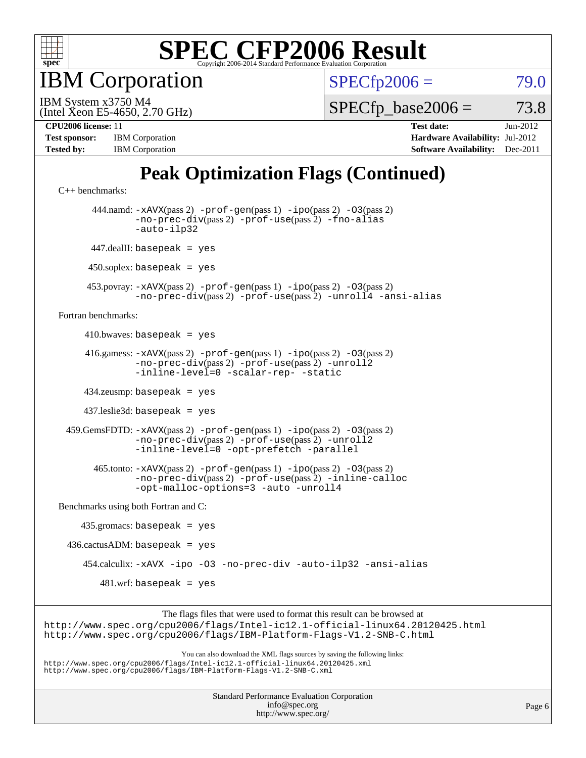

**BM** Corporation

 $SPECfp2006 = 79.0$  $SPECfp2006 = 79.0$ 

(Intel Xeon E5-4650, 2.70 GHz) IBM System x3750 M4

 $SPECTp\_base2006 = 73.8$ 

| <b>Test sponsor:</b> | <b>IBM</b> Corporation |
|----------------------|------------------------|
| <b>Tested by:</b>    | <b>IBM</b> Corporation |

**[CPU2006 license:](http://www.spec.org/auto/cpu2006/Docs/result-fields.html#CPU2006license)** 11 **[Test date:](http://www.spec.org/auto/cpu2006/Docs/result-fields.html#Testdate)** Jun-2012 **[Hardware Availability:](http://www.spec.org/auto/cpu2006/Docs/result-fields.html#HardwareAvailability)** Jul-2012 **[Software Availability:](http://www.spec.org/auto/cpu2006/Docs/result-fields.html#SoftwareAvailability)** Dec-2011

## **[Peak Optimization Flags \(Continued\)](http://www.spec.org/auto/cpu2006/Docs/result-fields.html#PeakOptimizationFlags)**

```
C++ benchmarks: 
        444.namd: -xAVX(pass 2) -prof-gen(pass 1) -ipo(pass 2) -O3(pass 2)
                -no-prec-div(pass 2) -prof-use(pass 2) -fno-alias
                -auto-ilp32
       447.dealII: basepeak = yes
      450.soplex: basepeak = yes
      453.povray: -xAVX(pass 2) -prof-gen(pass 1) -ipo(pass 2) -O3(pass 2)
                -no-prec-div(pass 2) -prof-use(pass 2) -unroll4 -ansi-alias
Fortran benchmarks: 
     410.bwaves: basepeak = yes 416.gamess: -xAVX(pass 2) -prof-gen(pass 1) -ipo(pass 2) -O3(pass 2)
                -no-prec-div(pass 2) -prof-use(pass 2) -unroll2
                -inline-level=0 -scalar-rep- -static
      434.zeusmp: basepeak = yes
      437.leslie3d: basepeak = yes
  459.GemsFDTD: -xAVX(pass 2) -prof-gen(pass 1) -ipo(pass 2) -O3(pass 2)
                -no-prec-div(pass 2) -prof-use(pass 2) -unroll2
                -inline-level=0 -opt-prefetch -parallel
        465.tonto: -xAVX(pass 2) -prof-gen(pass 1) -ipo(pass 2) -O3(pass 2)
                -no-prec-div(pass 2) -prof-use(pass 2) -inline-calloc
                -opt-malloc-options=3 -auto -unroll4
Benchmarks using both Fortran and C: 
     435.gromacs: basepeak = yes
 436.cactusADM: basepeak = yes 454.calculix: -xAVX -ipo -O3 -no-prec-div -auto-ilp32 -ansi-alias
        481.wrf: basepeak = yes
                     The flags files that were used to format this result can be browsed at
```
<http://www.spec.org/cpu2006/flags/Intel-ic12.1-official-linux64.20120425.html> <http://www.spec.org/cpu2006/flags/IBM-Platform-Flags-V1.2-SNB-C.html>

You can also download the XML flags sources by saving the following links: <http://www.spec.org/cpu2006/flags/Intel-ic12.1-official-linux64.20120425.xml> <http://www.spec.org/cpu2006/flags/IBM-Platform-Flags-V1.2-SNB-C.xml>